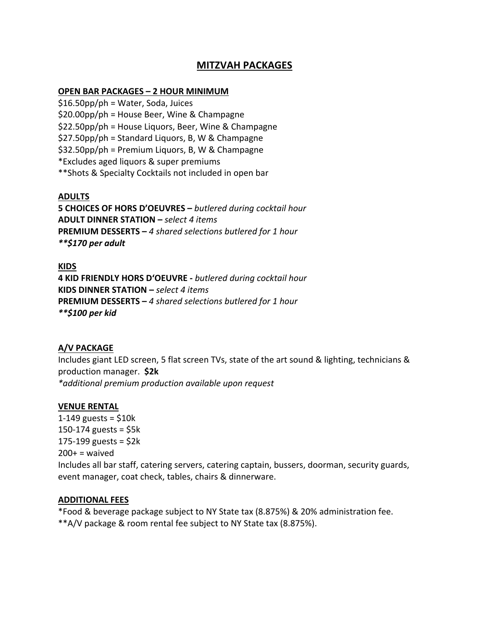# **MITZVAH PACKAGES**

#### **OPEN BAR PACKAGES – 2 HOUR MINIMUM**

\$16.50pp/ph = Water, Soda, Juices \$20.00pp/ph = House Beer, Wine & Champagne \$22.50pp/ph = House Liquors, Beer, Wine & Champagne \$27.50pp/ph = Standard Liquors, B, W & Champagne \$32.50pp/ph = Premium Liquors, B, W & Champagne \*Excludes aged liquors & super premiums \*\*Shots & Specialty Cocktails not included in open bar

# **ADULTS**

**5 CHOICES OF HORS D'OEUVRES –** *butlered during cocktail hour* **ADULT DINNER STATION –** *select 4 items* **PREMIUM DESSERTS –** *4 shared selections butlered for 1 hour \*\*\$170 per adult*

### **KIDS**

**4 KID FRIENDLY HORS D'OEUVRE -** *butlered during cocktail hour* **KIDS DINNER STATION –** *select 4 items* **PREMIUM DESSERTS –** *4 shared selections butlered for 1 hour \*\*\$100 per kid*

## **A/V PACKAGE**

Includes giant LED screen, 5 flat screen TVs, state of the art sound & lighting, technicians & production manager. **\$2k** *\*additional premium production available upon request*

#### **VENUE RENTAL**

1-149 guests =  $$10k$ 150-174 guests =  $$5k$ 175-199 guests =  $$2k$  $200+$  = waived Includes all bar staff, catering servers, catering captain, bussers, doorman, security guards, event manager, coat check, tables, chairs & dinnerware.

### **ADDITIONAL FEES**

\*Food & beverage package subject to NY State tax (8.875%) & 20% administration fee. \*\*A/V package & room rental fee subject to NY State tax (8.875%).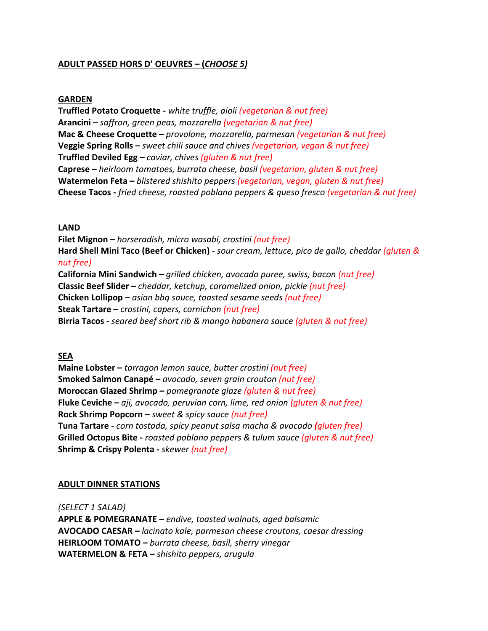# **ADULT PASSED HORS D' OEUVRES – (***CHOOSE 5)*

### **GARDEN**

**Truffled Potato Croquette -** *white truffle, aioli (vegetarian & nut free)* **Arancini –** *saffron, green peas, mozzarella (vegetarian & nut free)* **Mac & Cheese Croquette –** *provolone, mozzarella, parmesan (vegetarian & nut free)* **Veggie Spring Rolls –** *sweet chili sauce and chives (vegetarian, vegan & nut free)*  **Truffled Deviled Egg –** *caviar, chives (gluten & nut free)* **Caprese –** *heirloom tomatoes, burrata cheese, basil (vegetarian, gluten & nut free)* **Watermelon Feta –** *blistered shishito peppers (vegetarian, vegan, gluten & nut free)* **Cheese Tacos -** *fried cheese, roasted poblano peppers & queso fresco (vegetarian & nut free)*

## **LAND**

**Filet Mignon –** *horseradish, micro wasabi, crostini (nut free)* **Hard Shell Mini Taco (Beef or Chicken) -** *sour cream, lettuce, pico de gallo, cheddar (gluten & nut free)* **California Mini Sandwich –** *grilled chicken, avocado puree, swiss, bacon (nut free)* **Classic Beef Slider –** *cheddar, ketchup, caramelized onion, pickle (nut free)* **Chicken Lollipop –** *asian bbq sauce, toasted sesame seeds (nut free)* **Steak Tartare –** *crostini, capers, cornichon (nut free)* **Birria Tacos -** *seared beef short rib & mango habanero sauce (gluten & nut free)*

#### **SEA**

**Maine Lobster –** *tarragon lemon sauce, butter crostini (nut free)* **Smoked Salmon Canapé –** *avocado, seven grain crouton (nut free)* **Moroccan Glazed Shrimp –** *pomegranate glaze (gluten & nut free)* **Fluke Ceviche –** *aji, avocado, peruvian corn, lime, red onion (gluten & nut free)* **Rock Shrimp Popcorn –** *sweet & spicy sauce (nut free)* **Tuna Tartare -** *corn tostada, spicy peanut salsa macha & avocado (gluten free)* **Grilled Octopus Bite -** *roasted poblano peppers & tulum sauce (gluten & nut free)* **Shrimp & Crispy Polenta -** *skewer (nut free)*

#### **ADULT DINNER STATIONS**

*(SELECT 1 SALAD)*

**APPLE & POMEGRANATE –** *endive, toasted walnuts, aged balsamic* **AVOCADO CAESAR –** *lacinato kale, parmesan cheese croutons, caesar dressing*  **HEIRLOOM TOMATO –** *burrata cheese, basil, sherry vinegar* **WATERMELON & FETA –** *shishito peppers, arugula*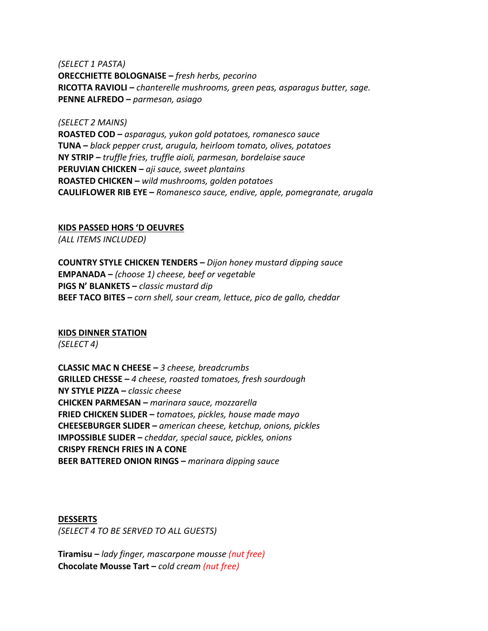*(SELECT 1 PASTA)* **ORECCHIETTE BOLOGNAISE –** *fresh herbs, pecorino* **RICOTTA RAVIOLI –** *chanterelle mushrooms, green peas, asparagus butter, sage.* **PENNE ALFREDO –** *parmesan, asiago*

*(SELECT 2 MAINS)* **ROASTED COD –** *asparagus, yukon gold potatoes, romanesco sauce* **TUNA –** *black pepper crust, arugula, heirloom tomato, olives, potatoes* **NY STRIP –** *truffle fries, truffle aioli, parmesan, bordelaise sauce* **PERUVIAN CHICKEN –** *aji sauce, sweet plantains* **ROASTED CHICKEN –** *wild mushrooms, golden potatoes* **CAULIFLOWER RIB EYE –** *Romanesco sauce, endive, apple, pomegranate, arugala*

**KIDS PASSED HORS 'D OEUVRES**

*(ALL ITEMS INCLUDED)*

**COUNTRY STYLE CHICKEN TENDERS –** *Dijon honey mustard dipping sauce* **EMPANADA –** *(choose 1) cheese, beef or vegetable* **PIGS N' BLANKETS –** *classic mustard dip* **BEEF TACO BITES –** *corn shell, sour cream, lettuce, pico de gallo, cheddar*

## **KIDS DINNER STATION**

*(SELECT 4)*

**CLASSIC MAC N CHEESE –** *3 cheese, breadcrumbs* **GRILLED CHESSE –** *4 cheese, roasted tomatoes, fresh sourdough* **NY STYLE PIZZA –** *classic cheese* **CHICKEN PARMESAN –** *marinara sauce, mozzarella* **FRIED CHICKEN SLIDER –** *tomatoes, pickles, house made mayo* **CHEESEBURGER SLIDER –** *american cheese, ketchup, onions, pickles* **IMPOSSIBLE SLIDER –** *cheddar, special sauce, pickles, onions* **CRISPY FRENCH FRIES IN A CONE BEER BATTERED ONION RINGS –** *marinara dipping sauce*

**DESSERTS** *(SELECT 4 TO BE SERVED TO ALL GUESTS)*

**Tiramisu –** *lady finger, mascarpone mousse (nut free)* **Chocolate Mousse Tart –** *cold cream (nut free)*